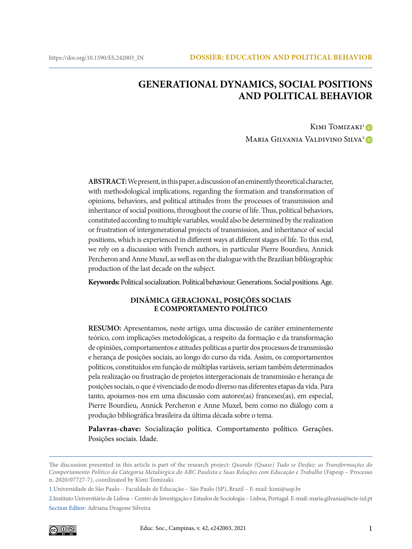# **GENERATIONAL DYNAMICS, SOCIAL POSITIONS AND POLITICAL BEHAVIOR**

Kimi Tomizaki<sup>[1](https://orcid.org/0000-0001-8804-8188)</sup>D Maria Gilvania Valdivino Silva<sup>[2](https://orcid.org/0000-0002-0256-3259)</sup>D

**ABSTRACT:**We present, in this paper, a discussion of an eminently theoretical character, with methodological implications, regarding the formation and transformation of opinions, behaviors, and political attitudes from the processes of transmission and inheritance of social positions, throughout the course of life. Thus, political behaviors, constituted according to multiple variables, would also be determined by the realization or frustration of intergenerational projects of transmission, and inheritance of social positions, which is experienced in different ways at different stages of life. To this end, we rely on a discussion with French authors, in particular Pierre Bourdieu, Annick Percheron and Anne Muxel, as well as on the dialogue with the Brazilian bibliographic production of the last decade on the subject.

**Keywords:** Political socialization. Political behaviour. Generations. Social positions. Age.

#### **DINÂMICA GERACIONAL, POSIÇÕES SOCIAIS E COMPORTAMENTO POLÍTICO**

**RESUMO:** Apresentamos, neste artigo, uma discussão de caráter eminentemente teórico, com implicações metodológicas, a respeito da formação e da transformação de opiniões, comportamentos e atitudes políticas a partir dos processos de transmissão e herança de posições sociais, ao longo do curso da vida. Assim, os comportamentos políticos, constituídos em função de múltiplas variáveis, seriam também determinados pela realização ou frustração de projetos intergeracionais de transmissão e herança de posições sociais, o que é vivenciado de modo diverso nas diferentes etapas da vida. Para tanto, apoiamos-nos em uma discussão com autores(as) franceses(as), em especial, Pierre Bourdieu, Annick Percheron e Anne Muxel, bem como no diálogo com a produção bibliográfica brasileira da última década sobre o tema.

**Palavras-chave:** Socialização política. Comportamento político. Gerações. Posições sociais. Idade.

<sup>2.</sup>Instituto Universitário de Lisboa – Centro de Investigação e Estudos de Sociologia – Lisboa, Portugal. E-mail: maria.gilvania@iscte-iul.pt Section Editor: Adriana Dragone Silveira



The discussion presented in this article is part of the research project: *Quando (Quase) Tudo se Desfaz: as Transformações do Comportamento Político da Categoria Metalúrgica do ABC Paulista e Suas Relações com Educação e Trabalho* (Fapesp – Processo n. 2020/07727-7), coordinated by Kimi Tomizaki.

<sup>1.</sup>Universidade de São Paulo – Faculdade de Educação – São Paulo (SP), Brazil – E-mail: kimi@usp.br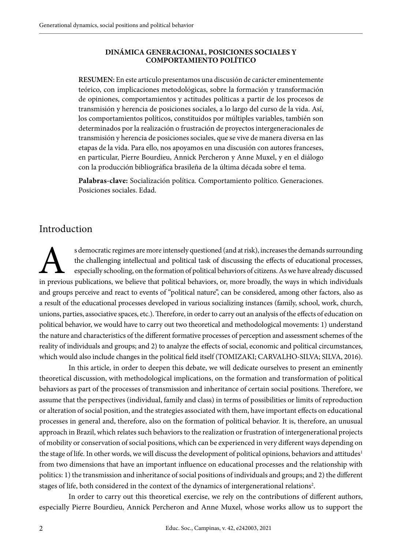#### **DINÁMICA GENERACIONAL, POSICIONES SOCIALES Y COMPORTAMIENTO POLÍTICO**

**RESUMEN:** En este artículo presentamos una discusión de carácter eminentemente teórico, con implicaciones metodológicas, sobre la formación y transformación de opiniones, comportamientos y actitudes políticas a partir de los procesos de transmisión y herencia de posiciones sociales, a lo largo del curso de la vida. Así, los comportamientos políticos, constituidos por múltiples variables, también son determinados por la realización o frustración de proyectos intergeneracionales de transmisión y herencia de posiciones sociales, que se vive de manera diversa en las etapas de la vida. Para ello, nos apoyamos en una discusión con autores franceses, en particular, Pierre Bourdieu, Annick Percheron y Anne Muxel, y en el diálogo con la producción bibliográfica brasileña de la última década sobre el tema.

**Palabras-clave:** Socialización política. Comportamiento político. Generaciones. Posiciones sociales. Edad.

## Introduction

s democratic regimes are more intensely questioned (and at risk), increases the demands surrounding<br>the challenging intellectual and political task of discussing the effects of educational processes,<br>especially schooling, the challenging intellectual and political task of discussing the effects of educational processes, especially schooling, on the formation of political behaviors of citizens. As we have already discussed in previous publications, we believe that political behaviors, or, more broadly, the ways in which individuals and groups perceive and react to events of "political nature", can be considered, among other factors, also as a result of the educational processes developed in various socializing instances (family, school, work, church, unions, parties, associative spaces, etc.). Therefore, in order to carry out an analysis of the effects of education on political behavior, we would have to carry out two theoretical and methodological movements: 1) understand the nature and characteristics of the different formative processes of perception and assessment schemes of the reality of individuals and groups; and 2) to analyze the effects of social, economic and political circumstances, which would also include changes in the political field itself (TOMIZAKI; CARVALHO-SILVA; SILVA, 2016).

In this article, in order to deepen this debate, we will dedicate ourselves to present an eminently theoretical discussion, with methodological implications, on the formation and transformation of political behaviors as part of the processes of transmission and inheritance of certain social positions. Therefore, we assume that the perspectives (individual, family and class) in terms of possibilities or limits of reproduction or alteration of social position, and the strategies associated with them, have important effects on educational processes in general and, therefore, also on the formation of political behavior. It is, therefore, an unusual approach in Brazil, which relates such behaviors to the realization or frustration of intergenerational projects of mobility or conservation of social positions, which can be experienced in very different ways depending on the stage of life. In other words, we will discuss the development of political opinions, behaviors and attitudes<sup>1</sup> from two dimensions that have an important influence on educational processes and the relationship with politics: 1) the transmission and inheritance of social positions of individuals and groups; and 2) the different stages of life, both considered in the context of the dynamics of intergenerational relations<sup>2</sup>.

In order to carry out this theoretical exercise, we rely on the contributions of different authors, especially Pierre Bourdieu, Annick Percheron and Anne Muxel, whose works allow us to support the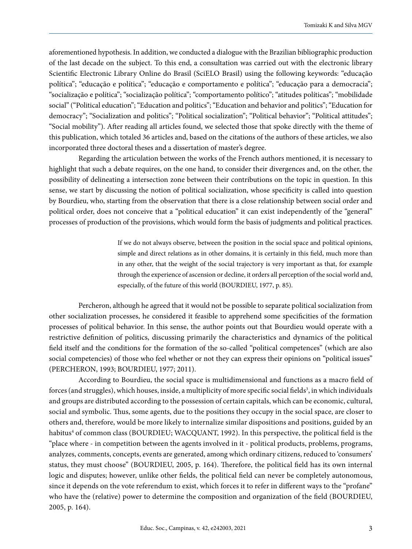aforementioned hypothesis. In addition, we conducted a dialogue with the Brazilian bibliographic production of the last decade on the subject. To this end, a consultation was carried out with the electronic library Scientific Electronic Library Online do Brasil (SciELO Brasil) using the following keywords: "educação política"; "educação e política"; "educação e comportamento e política"; "educação para a democracia"; "socialização e política"; "socialização política"; "comportamento político"; "atitudes políticas"; "mobilidade social" ("Political education"; "Education and politics"; "Education and behavior and politics"; "Education for democracy"; "Socialization and politics"; "Political socialization"; "Political behavior"; "Political attitudes"; "Social mobility"). After reading all articles found, we selected those that spoke directly with the theme of this publication, which totaled 36 articles and, based on the citations of the authors of these articles, we also incorporated three doctoral theses and a dissertation of master's degree.

Regarding the articulation between the works of the French authors mentioned, it is necessary to highlight that such a debate requires, on the one hand, to consider their divergences and, on the other, the possibility of delineating a intersection zone between their contributions on the topic in question. In this sense, we start by discussing the notion of political socialization, whose specificity is called into question by Bourdieu, who, starting from the observation that there is a close relationship between social order and political order, does not conceive that a "political education" it can exist independently of the "general" processes of production of the provisions, which would form the basis of judgments and political practices.

> If we do not always observe, between the position in the social space and political opinions, simple and direct relations as in other domains, it is certainly in this field, much more than in any other, that the weight of the social trajectory is very important as that, for example through the experience of ascension or decline, it orders all perception of the social world and, especially, of the future of this world (BOURDIEU, 1977, p. 85).

Percheron, although he agreed that it would not be possible to separate political socialization from other socialization processes, he considered it feasible to apprehend some specificities of the formation processes of political behavior. In this sense, the author points out that Bourdieu would operate with a restrictive definition of politics, discussing primarily the characteristics and dynamics of the political field itself and the conditions for the formation of the so-called "political competences" (which are also social competencies) of those who feel whether or not they can express their opinions on "political issues" (PERCHERON, 1993; BOURDIEU, 1977; 2011).

According to Bourdieu, the social space is multidimensional and functions as a macro field of forces (and struggles), which houses, inside, a multiplicity of more specific social fields<sup>3</sup>, in which individuals and groups are distributed according to the possession of certain capitals, which can be economic, cultural, social and symbolic. Thus, some agents, due to the positions they occupy in the social space, are closer to others and, therefore, would be more likely to internalize similar dispositions and positions, guided by an habitus<sup>4</sup> of common class (BOURDIEU; WACQUANT, 1992). In this perspective, the political field is the "place where - in competition between the agents involved in it - political products, problems, programs, analyzes, comments, concepts, events are generated, among which ordinary citizens, reduced to 'consumers' status, they must choose" (BOURDIEU, 2005, p. 164). Therefore, the political field has its own internal logic and disputes; however, unlike other fields, the political field can never be completely autonomous, since it depends on the vote referendum to exist, which forces it to refer in different ways to the "profane" who have the (relative) power to determine the composition and organization of the field (BOURDIEU, 2005, p. 164).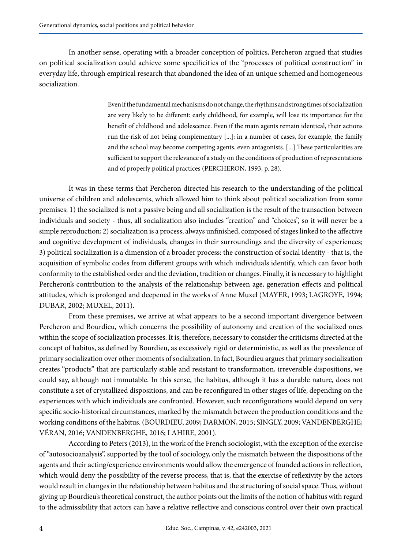In another sense, operating with a broader conception of politics, Percheron argued that studies on political socialization could achieve some specificities of the "processes of political construction" in everyday life, through empirical research that abandoned the idea of an unique schemed and homogeneous socialization.

> Even if the fundamental mechanisms do not change, the rhythms and strong times of socialization are very likely to be different: early childhood, for example, will lose its importance for the benefit of childhood and adolescence. Even if the main agents remain identical, their actions run the risk of not being complementary [...]: in a number of cases, for example, the family and the school may become competing agents, even antagonists. [...] These particularities are sufficient to support the relevance of a study on the conditions of production of representations and of properly political practices (PERCHERON, 1993, p. 28).

It was in these terms that Percheron directed his research to the understanding of the political universe of children and adolescents, which allowed him to think about political socialization from some premises: 1) the socialized is not a passive being and all socialization is the result of the transaction between individuals and society - thus, all socialization also includes "creation" and "choices", so it will never be a simple reproduction; 2) socialization is a process, always unfinished, composed of stages linked to the affective and cognitive development of individuals, changes in their surroundings and the diversity of experiences; 3) political socialization is a dimension of a broader process: the construction of social identity - that is, the acquisition of symbolic codes from different groups with which individuals identify, which can favor both conformity to the established order and the deviation, tradition or changes. Finally, it is necessary to highlight Percheron's contribution to the analysis of the relationship between age, generation effects and political attitudes, which is prolonged and deepened in the works of Anne Muxel (MAYER, 1993; LAGROYE, 1994; DUBAR, 2002; MUXEL, 2011).

From these premises, we arrive at what appears to be a second important divergence between Percheron and Bourdieu, which concerns the possibility of autonomy and creation of the socialized ones within the scope of socialization processes. It is, therefore, necessary to consider the criticisms directed at the concept of habitus, as defined by Bourdieu, as excessively rigid or deterministic, as well as the prevalence of primary socialization over other moments of socialization. In fact, Bourdieu argues that primary socialization creates "products" that are particularly stable and resistant to transformation, irreversible dispositions, we could say, although not immutable. In this sense, the habitus, although it has a durable nature, does not constitute a set of crystallized dispositions, and can be reconfigured in other stages of life, depending on the experiences with which individuals are confronted. However, such reconfigurations would depend on very specific socio-historical circumstances, marked by the mismatch between the production conditions and the working conditions of the habitus. (BOURDIEU, 2009; DARMON, 2015; SINGLY, 2009; VANDENBERGHE; VÉRAN, 2016; VANDENBERGHE, 2016; LAHIRE, 2001).

According to Peters (2013), in the work of the French sociologist, with the exception of the exercise of "autosocioanalysis", supported by the tool of sociology, only the mismatch between the dispositions of the agents and their acting/experience environments would allow the emergence of founded actions in reflection, which would deny the possibility of the reverse process, that is, that the exercise of reflexivity by the actors would result in changes in the relationship between habitus and the structuring of social space. Thus, without giving up Bourdieu's theoretical construct, the author points out the limits of the notion of habitus with regard to the admissibility that actors can have a relative reflective and conscious control over their own practical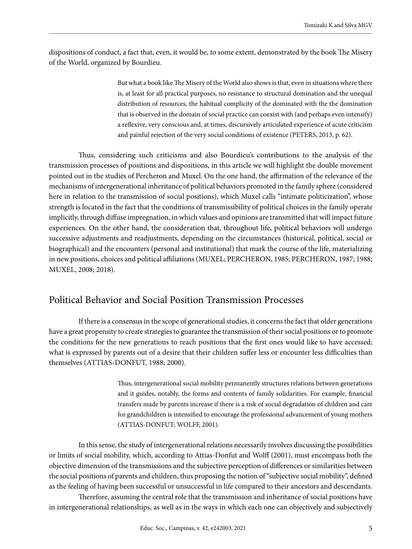dispositions of conduct, a fact that, even, it would be, to some extent, demonstrated by the book The Misery of the World, organized by Bourdieu.

> But what a book like The Misery of the World also shows is that, even in situations where there is, at least for all practical purposes, no resistance to structural domination and the unequal distribution of resources, the habitual complicity of the dominated with the the domination that is observed in the domain of social practice can coexist with (and perhaps even intensify) a reflexive, very conscious and, at times, discursively articulated experience of acute criticism and painful rejection of the very social conditions of existence (PETERS, 2013, p. 62).

Thus, considering such criticisms and also Bourdieu's contributions to the analysis of the transmission processes of positions and dispositions, in this article we will highlight the double movement pointed out in the studies of Percheron and Muxel. On the one hand, the affirmation of the relevance of the mechanisms of intergenerational inheritance of political behaviors promoted in the family sphere (considered here in relation to the transmission of social positions), which Muxel calls "intimate politicization", whose strength is located in the fact that the conditions of transmissibility of political choices in the family operate implicitly, through diffuse impregnation, in which values and opinions are transmitted that will impact future experiences. On the other hand, the consideration that, throughout life, political behaviors will undergo successive adjustments and readjustments, depending on the circumstances (historical, political, social or biographical) and the encounters (personal and institutional) that mark the course of the life, materializing in new positions, choices and political affiliations (MUXEL; PERCHERON, 1985; PERCHERON, 1987; 1988; MUXEL, 2008; 2018).

### Political Behavior and Social Position Transmission Processes

If there is a consensus in the scope of generational studies, it concerns the fact that older generations have a great propensity to create strategies to guarantee the transmission of their social positions or to promote the conditions for the new generations to reach positions that the first ones would like to have accessed; what is expressed by parents out of a desire that their children suffer less or encounter less difficulties than themselves (ATTIAS-DONFUT, 1988; 2000).

> Thus, intergenerational social mobility permanently structures relations between generations and it guides, notably, the forms and contents of family solidarities. For example, financial transfers made by parents increase if there is a risk of social degradation of children and care for grandchildren is intensified to encourage the professional advancement of young mothers (ATTIAS-DONFUT; WOLFF, 2001).

In this sense, the study of intergenerational relations necessarily involves discussing the possibilities or limits of social mobility, which, according to Attias-Donfut and Wolff (2001), must encompass both the objective dimension of the transmissions and the subjective perception of differences or similarities between the social positions of parents and children, thus proposing the notion of "subjective social mobility", defined as the feeling of having been successful or unsuccessful in life compared to their ancestors and descendants.

Therefore, assuming the central role that the transmission and inheritance of social positions have in intergenerational relationships, as well as in the ways in which each one can objectively and subjectively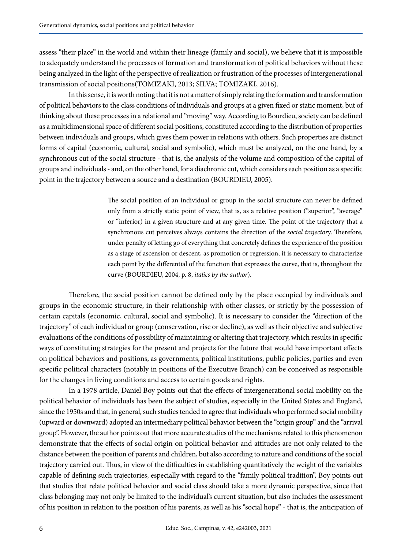assess "their place" in the world and within their lineage (family and social), we believe that it is impossible to adequately understand the processes of formation and transformation of political behaviors without these being analyzed in the light of the perspective of realization or frustration of the processes of intergenerational transmission of social positions(TOMIZAKI, 2013; SILVA; TOMIZAKI, 2016).

In this sense, it is worth noting that it is not a matter of simply relating the formation and transformation of political behaviors to the class conditions of individuals and groups at a given fixed or static moment, but of thinking about these processes in a relational and "moving" way. According to Bourdieu, society can be defined as a multidimensional space of different social positions, constituted according to the distribution of properties between individuals and groups, which gives them power in relations with others. Such properties are distinct forms of capital (economic, cultural, social and symbolic), which must be analyzed, on the one hand, by a synchronous cut of the social structure - that is, the analysis of the volume and composition of the capital of groups and individuals - and, on the other hand, for a diachronic cut, which considers each position as a specific point in the trajectory between a source and a destination (BOURDIEU, 2005).

> The social position of an individual or group in the social structure can never be defined only from a strictly static point of view, that is, as a relative position ("superior", "average" or "inferior) in a given structure and at any given time. The point of the trajectory that a synchronous cut perceives always contains the direction of the *social trajector*y. Therefore, under penalty of letting go of everything that concretely defines the experience of the position as a stage of ascension or descent, as promotion or regression, it is necessary to characterize each point by the differential of the function that expresses the curve, that is, throughout the curve (BOURDIEU, 2004, p. 8, *italics by the author*).

Therefore, the social position cannot be defined only by the place occupied by individuals and groups in the economic structure, in their relationship with other classes, or strictly by the possession of certain capitals (economic, cultural, social and symbolic). It is necessary to consider the "direction of the trajectory" of each individual or group (conservation, rise or decline), as well as their objective and subjective evaluations of the conditions of possibility of maintaining or altering that trajectory, which results in specific ways of constituting strategies for the present and projects for the future that would have important effects on political behaviors and positions, as governments, political institutions, public policies, parties and even specific political characters (notably in positions of the Executive Branch) can be conceived as responsible for the changes in living conditions and access to certain goods and rights.

In a 1978 article, Daniel Boy points out that the effects of intergenerational social mobility on the political behavior of individuals has been the subject of studies, especially in the United States and England, since the 1950s and that, in general, such studies tended to agree that individuals who performed social mobility (upward or downward) adopted an intermediary political behavior between the "origin group" and the "arrival group". However, the author points out that more accurate studies of the mechanisms related to this phenomenon demonstrate that the effects of social origin on political behavior and attitudes are not only related to the distance between the position of parents and children, but also according to nature and conditions of the social trajectory carried out. Thus, in view of the difficulties in establishing quantitatively the weight of the variables capable of defining such trajectories, especially with regard to the "family political tradition", Boy points out that studies that relate political behavior and social class should take a more dynamic perspective, since that class belonging may not only be limited to the individual's current situation, but also includes the assessment of his position in relation to the position of his parents, as well as his "social hope" - that is, the anticipation of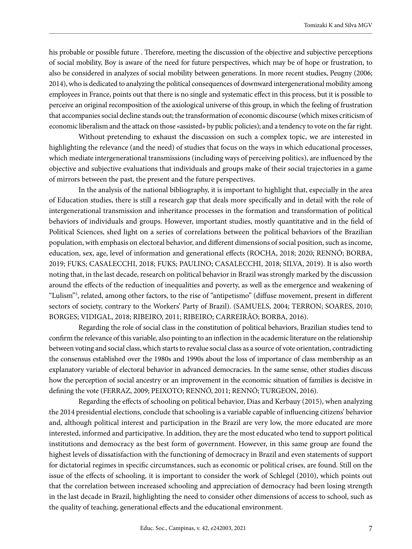his probable or possible future . Therefore, meeting the discussion of the objective and subjective perceptions of social mobility, Boy is aware of the need for future perspectives, which may be of hope or frustration, to also be considered in analyzes of social mobility between generations. In more recent studies, Peugny (2006; 2014), who is dedicated to analyzing the political consequences of downward intergenerational mobility among employees in France, points out that there is no single and systematic effect in this process, but it is possible to perceive an original recomposition of the axiological universe of this group, in which the feeling of frustration that accompanies social decline stands out; the transformation of economic discourse (which mixes criticism of economic liberalism and the attack on those «assisted» by public policies); and a tendency to vote on the far right.

Without pretending to exhaust the discussion on such a complex topic, we are interested in highlighting the relevance (and the need) of studies that focus on the ways in which educational processes, which mediate intergenerational transmissions (including ways of perceiving politics), are influenced by the objective and subjective evaluations that individuals and groups make of their social trajectories in a game of mirrors between the past, the present and the future perspectives.

In the analysis of the national bibliography, it is important to highlight that, especially in the area of Education studies, there is still a research gap that deals more specifically and in detail with the role of intergenerational transmission and inheritance processes in the formation and transformation of political behaviors of individuals and groups. However, important studies, mostly quantitative and in the field of Political Sciences, shed light on a series of correlations between the political behaviors of the Brazilian population, with emphasis on electoral behavior, and different dimensions of social position, such as income, education, sex, age, level of information and generational effects (ROCHA, 2018; 2020; RENNÓ; BORBA, 2019; [FUKS;](http://www.scielo.br/cgi-bin/wxis.exe/iah/?IsisScript=iah/iah.xis&base=article%5Edlibrary&format=iso.pft&lang=i&nextAction=lnk&indexSearch=AU&exprSearch=FUKS,+MARIO) [CASALECCHI,](http://www.scielo.br/cgi-bin/wxis.exe/iah/?IsisScript=iah/iah.xis&base=article%5Edlibrary&format=iso.pft&lang=i&nextAction=lnk&indexSearch=AU&exprSearch=CASALECCHI,+GABRIEL+AVILA) 2018; FUKS; PAULINO; CASALECCHI, 2018; SILVA, 2019). It is also worth noting that, in the last decade, research on political behavior in Brazil was strongly marked by the discussion around the effects of the reduction of inequalities and poverty, as well as the emergence and weakening of "Lulism"5 , related, among other factors, to the rise of "antipetismo" (diffuse movement, present in different sectors of society, contrary to the Workers' Party of Brazil). (SAMUELS, 2004; TERRON; SOARES, 2010; BORGES; VIDIGAL, 2018; RIBEIRO, 2011; RIBEIRO; CARREIRÃO; BORBA, 2016).

Regarding the role of social class in the constitution of political behaviors, Brazilian studies tend to confirm the relevance of this variable, also pointing to an inflection in the academic literature on the relationship between voting and social class, which starts to revalue social class as a source of vote orientation, contradicting the consensus established over the 1980s and 1990s about the loss of importance of class membership as an explanatory variable of electoral behavior in advanced democracies. In the same sense, other studies discuss how the perception of social ancestry or an improvement in the economic situation of families is decisive in defining the vote (FERRAZ, 2009; PEIXOTO; RENNÓ, 2011; RENNÓ; TURGEON, 2016).

Regarding the effects of schooling on political behavior, Dias and Kerbauy (2015), when analyzing the 2014 presidential elections, conclude that schooling is a variable capable of influencing citizens' behavior and, although political interest and participation in the Brazil are very low, the more educated are more interested, informed and participative. In addition, they are the most educated who tend to support political institutions and democracy as the best form of government. However, in this same group are found the highest levels of dissatisfaction with the functioning of democracy in Brazil and even statements of support for dictatorial regimes in specific circumstances, such as economic or political crises, are found. Still on the issue of the effects of schooling, it is important to consider the work of Schlegel (2010), which points out that the correlation between increased schooling and appreciation of democracy had been losing strength in the last decade in Brazil, highlighting the need to consider other dimensions of access to school, such as the quality of teaching, generational effects and the educational environment.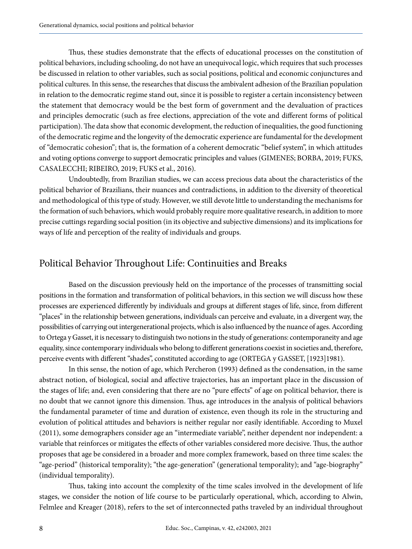Thus, these studies demonstrate that the effects of educational processes on the constitution of political behaviors, including schooling, do not have an unequivocal logic, which requires that such processes be discussed in relation to other variables, such as social positions, political and economic conjunctures and political cultures. In this sense, the researches that discuss the ambivalent adhesion of the Brazilian population in relation to the democratic regime stand out, since it is possible to register a certain inconsistency between the statement that democracy would be the best form of government and the devaluation of practices and principles democratic (such as free elections, appreciation of the vote and different forms of political participation). The data show that economic development, the reduction of inequalities, the good functioning of the democratic regime and the longevity of the democratic experience are fundamental for the development of "democratic cohesion"; that is, the formation of a coherent democratic "belief system", in which attitudes and voting options converge to support democratic principles and values (GIMENES; BORBA, 2019; FUKS, CASALECCHI; RIBEIRO, 2019; FUKS et al., 2016).

Undoubtedly, from Brazilian studies, we can access precious data about the characteristics of the political behavior of Brazilians, their nuances and contradictions, in addition to the diversity of theoretical and methodological of this type of study. However, we still devote little to understanding the mechanisms for the formation of such behaviors, which would probably require more qualitative research, in addition to more precise cuttings regarding social position (in its objective and subjective dimensions) and its implications for ways of life and perception of the reality of individuals and groups.

## Political Behavior Throughout Life: Continuities and Breaks

Based on the discussion previously held on the importance of the processes of transmitting social positions in the formation and transformation of political behaviors, in this section we will discuss how these processes are experienced differently by individuals and groups at different stages of life, since, from different "places" in the relationship between generations, individuals can perceive and evaluate, in a divergent way, the possibilities of carrying out intergenerational projects, which is also influenced by the nuance of ages. According to Ortega y Gasset, it is necessary to distinguish two notions in the study of generations: contemporaneity and age equality, since contemporary individuals who belong to different generations coexist in societies and, therefore, perceive events with different "shades", constituted according to age (ORTEGA y GASSET, [1923]1981).

In this sense, the notion of age, which Percheron (1993) defined as the condensation, in the same abstract notion, of biological, social and affective trajectories, has an important place in the discussion of the stages of life; and, even considering that there are no "pure effects" of age on political behavior, there is no doubt that we cannot ignore this dimension. Thus, age introduces in the analysis of political behaviors the fundamental parameter of time and duration of existence, even though its role in the structuring and evolution of political attitudes and behaviors is neither regular nor easily identifiable. According to Muxel (2011), some demographers consider age an "intermediate variable", neither dependent nor independent: a variable that reinforces or mitigates the effects of other variables considered more decisive. Thus, the author proposes that age be considered in a broader and more complex framework, based on three time scales: the "age-period" (historical temporality); "the age-generation" (generational temporality); and "age-biography" (individual temporality).

Thus, taking into account the complexity of the time scales involved in the development of life stages, we consider the notion of life course to be particularly operational, which, according to Alwin, Felmlee and Kreager (2018), refers to the set of interconnected paths traveled by an individual throughout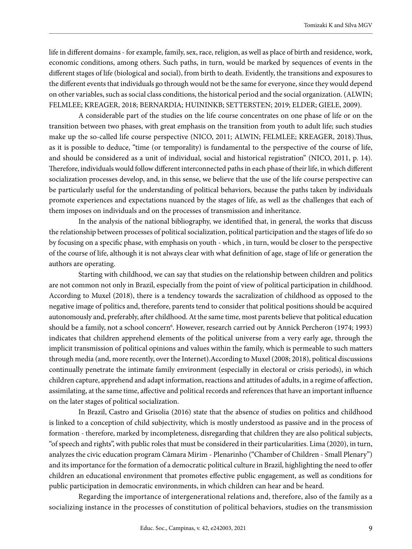life in different domains - for example, family, sex, race, religion, as well as place of birth and residence, work, economic conditions, among others. Such paths, in turn, would be marked by sequences of events in the different stages of life (biological and social), from birth to death. Evidently, the transitions and exposures to the different events that individuals go through would not be the same for everyone, since they would depend on other variables, such as social class conditions, the historical period and the social organization. (ALWIN; FELMLEE; KREAGER, 2018; BERNARDIA; HUININKB; SETTERSTEN; 2019; ELDER; GIELE, 2009).

A considerable part of the studies on the life course concentrates on one phase of life or on the transition between two phases, with great emphasis on the transition from youth to adult life; such studies make up the so-called life course perspective (NICO, 2011; ALWIN; FELMLEE; KREAGER, 2018).Thus, as it is possible to deduce, "time (or temporality) is fundamental to the perspective of the course of life, and should be considered as a unit of individual, social and historical registration" (NICO, 2011, p. 14). Therefore, individuals would follow different interconnected paths in each phase of their life, in which different socialization processes develop, and, in this sense, we believe that the use of the life course perspective can be particularly useful for the understanding of political behaviors, because the paths taken by individuals promote experiences and expectations nuanced by the stages of life, as well as the challenges that each of them imposes on individuals and on the processes of transmission and inheritance.

In the analysis of the national bibliography, we identified that, in general, the works that discuss the relationship between processes of political socialization, political participation and the stages of life do so by focusing on a specific phase, with emphasis on youth - which , in turn, would be closer to the perspective of the course of life, although it is not always clear with what definition of age, stage of life or generation the authors are operating.

Starting with childhood, we can say that studies on the relationship between children and politics are not common not only in Brazil, especially from the point of view of political participation in childhood. According to Muxel (2018), there is a tendency towards the sacralization of childhood as opposed to the negative image of politics and, therefore, parents tend to consider that political positions should be acquired autonomously and, preferably, after childhood. At the same time, most parents believe that political education should be a family, not a school concern<sup>6</sup>. However, research carried out by Annick Percheron (1974; 1993) indicates that children apprehend elements of the political universe from a very early age, through the implicit transmission of political opinions and values within the family, which is permeable to such matters through media (and, more recently, over the Internet).According to Muxel (2008; 2018), political discussions continually penetrate the intimate family environment (especially in electoral or crisis periods), in which children capture, apprehend and adapt information, reactions and attitudes of adults, in a regime of affection, assimilating, at the same time, affective and political records and references that have an important influence on the later stages of political socialization.

In Brazil, Castro and Grisolia (2016) state that the absence of studies on politics and childhood is linked to a conception of child subjectivity, which is mostly understood as passive and in the process of formation - therefore, marked by incompleteness, disregarding that children they are also political subjects, "of speech and rights", with public roles that must be considered in their particularities. Lima (2020), in turn, analyzes the civic education program Câmara Mirim - Plenarinho ("Chamber of Children - Small Plenary") and its importance for the formation of a democratic political culture in Brazil, highlighting the need to offer children an educational environment that promotes effective public engagement, as well as conditions for public participation in democratic environments, in which children can hear and be heard.

Regarding the importance of intergenerational relations and, therefore, also of the family as a socializing instance in the processes of constitution of political behaviors, studies on the transmission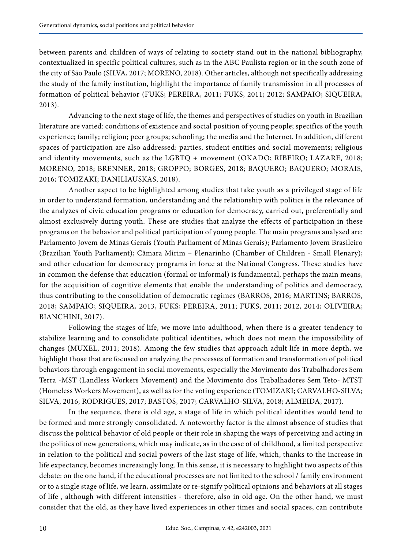between parents and children of ways of relating to society stand out in the national bibliography, contextualized in specific political cultures, such as in the ABC Paulista region or in the south zone of the city of São Paulo (SILVA, 2017; MORENO, 2018). Other articles, although not specifically addressing the study of the family institution, highlight the importance of family transmission in all processes of formation of political behavior (FUKS; PEREIRA, 2011; FUKS, 2011; 2012; SAMPAIO; SIQUEIRA, 2013).

Advancing to the next stage of life, the themes and perspectives of studies on youth in Brazilian literature are varied: conditions of existence and social position of young people; specifics of the youth experience; family; religion; peer groups; schooling; the media and the Internet. In addition, different spaces of participation are also addressed: parties, student entities and social movements; religious and identity movements, such as the LGBTQ + movement (OKADO; RIBEIRO; LAZARE, 2018; MORENO, 2018; BRENNER, 2018; GROPPO; BORGES, 2018; BAQUERO; BAQUERO; MORAIS, 2016; TOMIZAKI; DANILIAUSKAS, 2018).

Another aspect to be highlighted among studies that take youth as a privileged stage of life in order to understand formation, understanding and the relationship with politics is the relevance of the analyzes of civic education programs or education for democracy, carried out, preferentially and almost exclusively during youth. These are studies that analyze the effects of participation in these programs on the behavior and political participation of young people. The main programs analyzed are: Parlamento Jovem de Minas Gerais (Youth Parliament of Minas Gerais); Parlamento Jovem Brasileiro (Brazilian Youth Parliament); Câmara Mirim – Plenarinho (Chamber of Children - Small Plenary); and other education for democracy programs in force at the National Congress. These studies have in common the defense that education (formal or informal) is fundamental, perhaps the main means, for the acquisition of cognitive elements that enable the understanding of politics and democracy, thus contributing to the consolidation of democratic regimes (BARROS, 2016; MARTINS; BARROS, 2018; SAMPAIO; SIQUEIRA, 2013, FUKS; PEREIRA, 2011; FUKS, 2011; 2012, 2014; OLIVEIRA; BIANCHINI, 2017).

Following the stages of life, we move into adulthood, when there is a greater tendency to stabilize learning and to consolidate political identities, which does not mean the impossibility of changes (MUXEL, 2011; 2018). Among the few studies that approach adult life in more depth, we highlight those that are focused on analyzing the processes of formation and transformation of political behaviors through engagement in social movements, especially the Movimento dos Trabalhadores Sem Terra -MST (Landless Workers Movement) and the Movimento dos Trabalhadores Sem Teto- MTST (Homeless Workers Movement), as well as for the voting experience (TOMIZAKI; CARVALHO-SILVA; SILVA, 2016; RODRIGUES, 2017; BASTOS, 2017; CARVALHO-SILVA, 2018; ALMEIDA, 2017).

In the sequence, there is old age, a stage of life in which political identities would tend to be formed and more strongly consolidated. A noteworthy factor is the almost absence of studies that discuss the political behavior of old people or their role in shaping the ways of perceiving and acting in the politics of new generations, which may indicate, as in the case of of childhood, a limited perspective in relation to the political and social powers of the last stage of life, which, thanks to the increase in life expectancy, becomes increasingly long. In this sense, it is necessary to highlight two aspects of this debate: on the one hand, if the educational processes are not limited to the school / family environment or to a single stage of life, we learn, assimilate or re-signify political opinions and behaviors at all stages of life , although with different intensities - therefore, also in old age. On the other hand, we must consider that the old, as they have lived experiences in other times and social spaces, can contribute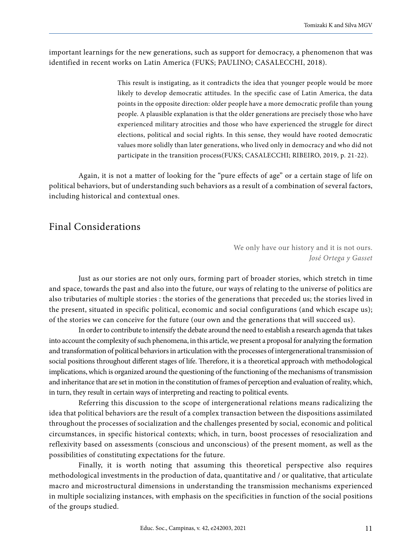important learnings for the new generations, such as support for democracy, a phenomenon that was identified in recent works on Latin America (FUKS; PAULINO; CASALECCHI, 2018).

> This result is instigating, as it contradicts the idea that younger people would be more likely to develop democratic attitudes. In the specific case of Latin America, the data points in the opposite direction: older people have a more democratic profile than young people. A plausible explanation is that the older generations are precisely those who have experienced military atrocities and those who have experienced the struggle for direct elections, political and social rights. In this sense, they would have rooted democratic values more solidly than later generations, who lived only in democracy and who did not participate in the transition process(FUKS; CASALECCHI; RIBEIRO, 2019, p. 21-22).

Again, it is not a matter of looking for the "pure effects of age" or a certain stage of life on political behaviors, but of understanding such behaviors as a result of a combination of several factors, including historical and contextual ones.

## Final Considerations

We only have our history and it is not ours. *José Ortega y Gasset*

Just as our stories are not only ours, forming part of broader stories, which stretch in time and space, towards the past and also into the future, our ways of relating to the universe of politics are also tributaries of multiple stories : the stories of the generations that preceded us; the stories lived in the present, situated in specific political, economic and social configurations (and which escape us); of the stories we can conceive for the future (our own and the generations that will succeed us).

In order to contribute to intensify the debate around the need to establish a research agenda that takes into account the complexity of such phenomena, in this article, we present a proposal for analyzing the formation and transformation of political behaviors in articulation with the processes of intergenerational transmission of social positions throughout different stages of life. Therefore, it is a theoretical approach with methodological implications, which is organized around the questioning of the functioning of the mechanisms of transmission and inheritance that are set in motion in the constitution of frames of perception and evaluation of reality, which, in turn, they result in certain ways of interpreting and reacting to political events.

Referring this discussion to the scope of intergenerational relations means radicalizing the idea that political behaviors are the result of a complex transaction between the dispositions assimilated throughout the processes of socialization and the challenges presented by social, economic and political circumstances, in specific historical contexts; which, in turn, boost processes of resocialization and reflexivity based on assessments (conscious and unconscious) of the present moment, as well as the possibilities of constituting expectations for the future.

Finally, it is worth noting that assuming this theoretical perspective also requires methodological investments in the production of data, quantitative and / or qualitative, that articulate macro and microstructural dimensions in understanding the transmission mechanisms experienced in multiple socializing instances, with emphasis on the specificities in function of the social positions of the groups studied.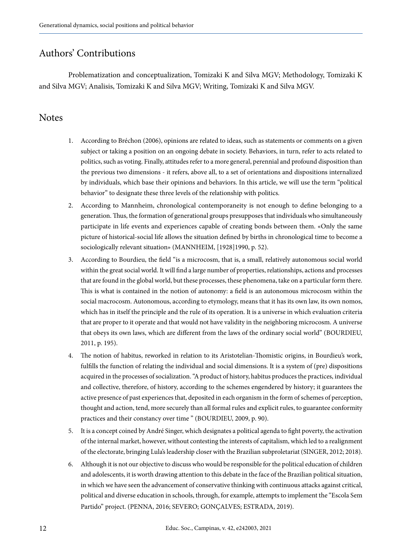# Authors' Contributions

Problematization and conceptualization, Tomizaki K and Silva MGV; Methodology, Tomizaki K and Silva MGV; Analisis, Tomizaki K and Silva MGV; Writing, Tomizaki K and Silva MGV.

### **Notes**

- 1. According to Bréchon (2006), opinions are related to ideas, such as statements or comments on a given subject or taking a position on an ongoing debate in society. Behaviors, in turn, refer to acts related to politics, such as voting. Finally, attitudes refer to a more general, perennial and profound disposition than the previous two dimensions - it refers, above all, to a set of orientations and dispositions internalized by individuals, which base their opinions and behaviors. In this article, we will use the term "political behavior" to designate these three levels of the relationship with politics.
- 2. According to Mannheim, chronological contemporaneity is not enough to define belonging to a generation. Thus, the formation of generational groups presupposes that individuals who simultaneously participate in life events and experiences capable of creating bonds between them. «Only the same picture of historical-social life allows the situation defined by births in chronological time to become a sociologically relevant situation» (MANNHEIM, [1928]1990, p. 52).
- 3. According to Bourdieu, the field "is a microcosm, that is, a small, relatively autonomous social world within the great social world. It will find a large number of properties, relationships, actions and processes that are found in the global world, but these processes, these phenomena, take on a particular form there. This is what is contained in the notion of autonomy: a field is an autonomous microcosm within the social macrocosm. Autonomous, according to etymology, means that it has its own law, its own nomos, which has in itself the principle and the rule of its operation. It is a universe in which evaluation criteria that are proper to it operate and that would not have validity in the neighboring microcosm. A universe that obeys its own laws, which are different from the laws of the ordinary social world" (BOURDIEU, 2011, p. 195).
- 4. The notion of habitus, reworked in relation to its Aristotelian-Thomistic origins, in Bourdieu's work, fulfills the function of relating the individual and social dimensions. It is a system of (pre) dispositions acquired in the processes of socialization. "A product of history, habitus produces the practices, individual and collective, therefore, of history, according to the schemes engendered by history; it guarantees the active presence of past experiences that, deposited in each organism in the form of schemes of perception, thought and action, tend, more securely than all formal rules and explicit rules, to guarantee conformity practices and their constancy over time " (BOURDIEU, 2009, p. 90).
- 5. It is a concept coined by André Singer, which designates a political agenda to fight poverty, the activation of the internal market, however, without contesting the interests of capitalism, which led to a realignment of the electorate, bringing Lula's leadership closer with the Brazilian subproletariat (SINGER, 2012; 2018).
- 6. Although it is not our objective to discuss who would be responsible for the political education of children and adolescents, it is worth drawing attention to this debate in the face of the Brazilian political situation, in which we have seen the advancement of conservative thinking with continuous attacks against critical, political and diverse education in schools, through, for example, attempts to implement the "Escola Sem Partido" project. (PENNA, 2016; SEVERO; GONÇALVES; ESTRADA, 2019).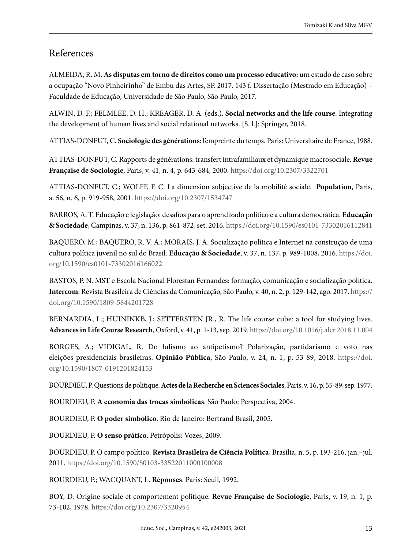### References

ALMEIDA, R. M. **As disputas em torno de direitos como um processo educativo:** um estudo de caso sobre a ocupação "Novo Pinheirinho" de Embu das Artes, SP. 2017. 143 f. Dissertação (Mestrado em Educação) – Faculdade de Educação, Universidade de São Paulo, São Paulo, 2017.

ALWIN, D. F.; FELMLEE, D. H.; KREAGER, D. A. (eds.). **Social networks and the life course**. Integrating the development of human lives and social relational networks. [S. l.]: Springer, 2018.

ATTIAS-DONFUT, C. **Sociologie des générations**: l'empreinte du temps. Paris: Universitaire de France, 1988.

ATTIAS-DONFUT, C. Rapports de générations: transfert intrafamiliaux et dynamique macrosociale. **Revue Française de Sociologie**, Paris, v. 41, n. 4, p. 643-684, 2000.<https://doi.org/10.2307/3322701>

ATTIAS-DONFUT, C.; WOLFF, F. C. La dimension subjective de la mobilité sociale. **Population**, Paris, a. 56, n. 6, p. 919-958, 2001. <https://doi.org/10.2307/1534747>

BARROS, A. T. Educação e legislação: desafios para o aprendizado político e a cultura democrática. **Educação & Sociedade**, Campinas, v. 37, n. 136, p. 861-872, set. 2016.<https://doi.org/10.1590/es0101-73302016112841>

BAQUERO, M.; BAQUERO, R. V. A.; MORAIS, J. A. Socialização política e Internet na construção de uma cultura política juvenil no sul do Brasil. **Educação & Sociedade**, v. 37, n. 137, p. 989-1008, 2016. [https://doi.](https://doi.org/10.1590/es0101-73302016166022) [org/10.1590/es0101-73302016166022](https://doi.org/10.1590/es0101-73302016166022)

BASTOS, P. N. MST e Escola Nacional Florestan Fernandes: formação, comunicação e socialização política. **Intercom**: Revista Brasileira de Ciências da Comunicação, São Paulo, v. 40, n. 2, p. 129-142, ago. 2017. [https://](https://doi.org/10.1590/1809-5844201728) [doi.org/10.1590/1809-5844201728](https://doi.org/10.1590/1809-5844201728)

BERNARDIA, L.; HUININKB, J.; SETTERSTEN JR., R. The life course cube: a tool for studying lives. **Advances in Life Course Research**, Oxford, v. 41, p. 1-13, sep. 2019. [https://doi.org/10.1016/j.alcr.2018.11.004](https://doi.org/10.1016/j.alcr.2018.11.004 )

BORGES, A.; VIDIGAL, R. Do lulismo ao antipetismo? Polarização, partidarismo e voto nas eleições presidenciais brasileiras. **Opinião Pública**, São Paulo, v. 24, n. 1, p. 53-89, 2018. [https://doi.](https://doi.org/10.1590/1807-0191201824153) [org/10.1590/1807-0191201824153](https://doi.org/10.1590/1807-0191201824153)

BOURDIEU, P. Questions de politique. **Actes de la Recherche en Sciences Sociales**, Paris, v. 16, p. 55-89, sep. 1977.

BOURDIEU, P. **A economia das trocas simbólicas**. São Paulo: Perspectiva, 2004.

BOURDIEU, P. **O poder simbólico**. Rio de Janeiro: Bertrand Brasil, 2005.

BOURDIEU, P. **O senso prático**. Petrópolis: Vozes, 2009.

BOURDIEU, P. O campo político. **Revista Brasileira de Ciência Política**, Brasília, n. 5, p. 193-216, jan.–jul. 2011.<https://doi.org/10.1590/S0103-33522011000100008>

BOURDIEU, P.; WACQUANT, L. **Réponses**. Paris: Seuil, 1992.

BOY, D. Origine sociale et comportement politique. **Revue Française de Sociologie**, Paris, v. 19, n. 1, p. 73-102, 1978.<https://doi.org/10.2307/3320954>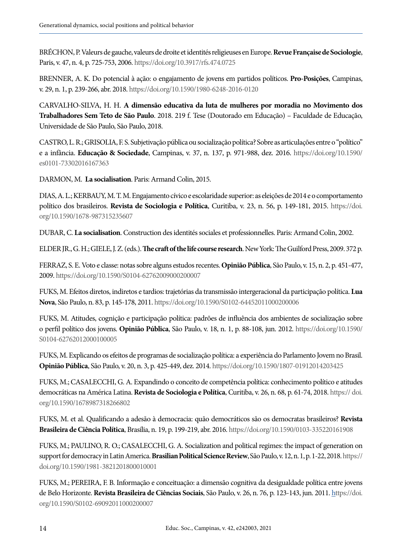BRÉCHON, P. Valeurs de gauche, valeurs de droite et identités religieuses en Europe. **Revue Française de Sociologie**, Paris, v. 47, n. 4, p. 725-753, 2006.<https://doi.org/10.3917/rfs.474.0725>

BRENNER, A. K. Do potencial à ação: o engajamento de jovens em partidos políticos. **Pro-Posições**, Campinas, v. 29, n. 1, p. 239-266, abr. 2018. [https://doi.org/10.1590/1980-6248-2016-012](https://doi.org/10.1590/1980-6248-2016-0120)0

CARVALHO-SILVA, H. H. **A dimensão educativa da luta de mulheres por moradia no Movimento dos Trabalhadores Sem Teto de São Paulo**. 2018. 219 f. Tese (Doutorado em Educação) – Faculdade de Educação, Universidade de São Paulo, São Paulo, 2018.

CASTRO, L. R.; GRISOLIA, F. S. Subjetivação pública ou socialização política? Sobre as articulações entre o "político" e a infância. **Educação & Sociedade**, Campinas, v. 37, n. 137, p. 971-988, dez. 2016. [https://doi.org/10.1590/](https://doi.org/10.1590/es0101-73302016167363) [es0101-73302016167363](https://doi.org/10.1590/es0101-73302016167363)

DARMON, M. **La socialisation**. Paris: Armand Colin, 2015.

DIAS, A. L.; KERBAUY, M. T. M. Engajamento cívico e escolaridade superior: as eleições de 2014 e o comportamento político dos brasileiros. **Revista de Sociologia e Política**, Curitiba, v. 23, n. 56, p. 149-181, 2015. [https://doi.](https://doi.org/10.1590/1678-987315235607) [org/10.1590/1678-987315235607](https://doi.org/10.1590/1678-987315235607)

DUBAR, C. **La socialisation**. Construction des identités sociales et professionnelles. Paris: Armand Colin, 2002.

ELDER JR., G. H.; GIELE, J. Z. (eds.). **The craft of the life course research**. New York: The Guilford Press, 2009. 372 p.

FERRAZ, S. E. Voto e classe: notas sobre alguns estudos recentes. **Opinião Pública**, São Paulo, v. 15, n. 2, p. 451-477, 2009.<https://doi.org/10.1590/S0104-62762009000200007>

FUKS, M. Efeitos diretos, indiretos e tardios: trajetórias da transmissão intergeracional da participação política. **Lua Nova**, São Paulo, n. 83, p. 145-178, 2011.<https://doi.org/10.1590/S0102-64452011000200006>

FUKS, M. Atitudes, cognição e participação política: padrões de influência dos ambientes de socialização sobre o perfil político dos jovens. **Opinião Pública**, São Paulo, v. 18, n. 1, p. 88-108, jun. 2012. [https://doi.org/10.1590/](https://doi.org/10.1590/S0104-62762012000100005) [S0104-62762012000100005](https://doi.org/10.1590/S0104-62762012000100005)

FUKS, M. Explicando os efeitos de programas de socialização política: a experiência do Parlamento Jovem no Brasil. **Opinião Pública**, São Paulo, v. 20, n. 3, p. 425-449, dez. 2014.<https://doi.org/10.1590/1807-01912014203425>

FUKS, M.; CASALECCHI, G. A. Expandindo o conceito de competência política: conhecimento político e atitudes democráticas na América Latina. **Revista de Sociologia e Política**, Curitiba, v. 26, n. 68, p. 61-74, 2018. [https:// doi.](https:// doi.org/10.1590/1678987318266802) [org/10.1590/1678987318266802](https:// doi.org/10.1590/1678987318266802)

FUKS, M. et al. Qualificando a adesão à democracia: quão democráticos são os democratas brasileiros? **Revista Brasileira de Ciência Política**, Brasília, n. 19, p. 199-219, abr. 2016. [https://doi.org/10.1590/0103-335220161908](https://doi.org/10.1590/0103-335220161908 )

FUKS, M.; PAULINO, R. O.; CASALECCHI, G. A. Socialization and political regimes: the impact of generation on support for democracy in Latin America. **Brasilian Political Science Review**, São Paulo, v. 12, n. 1, p. 1-22, 2018. [https://](https://doi.org/10.1590/1981-3821201800010001) [doi.org/10.1590/1981-3821201800010001](https://doi.org/10.1590/1981-3821201800010001)

FUKS, M.; PEREIRA, F. B. Informação e conceituação: a dimensão cognitiva da desigualdade política entre jovens de Belo Horizonte. **Revista Brasileira de Ciências Sociais**, São Paulo, v. 26, n. 76, p. 123-143, jun. 2011. [https://doi.](https://doi.org/10.1590/S0102-69092011000200007) [org/10.1590/S0102-69092011000200007](https://doi.org/10.1590/S0102-69092011000200007)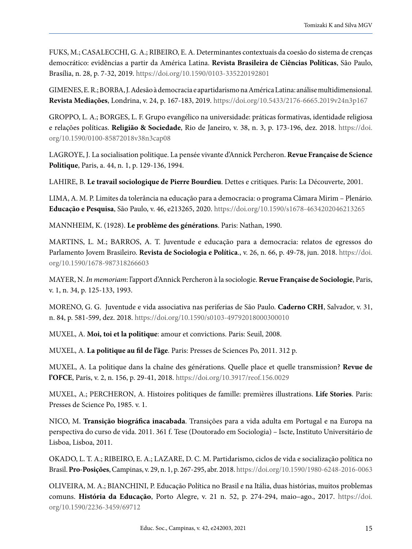FUKS, M.; CASALECCHI, G. A.; RIBEIRO, E. A. Determinantes contextuais da coesão do sistema de crenças democrático: evidências a partir da América Latina. **Revista Brasileira de Ciências Políticas**, São Paulo, Brasília, n. 28, p. 7-32, 2019. <https://doi.org/10.1590/0103-335220192801>

GIMENES, E. R.; BORBA, J. Adesão à democracia e apartidarismo na América Latina: análise multidimensional. **Revista Mediações**, Londrina, v. 24, p. 167-183, 2019. <https://doi.org/10.5433/2176-6665.2019v24n3p167>

GROPPO, L. A.; BORGES, L. F. Grupo evangélico na universidade: práticas formativas, identidade religiosa e relações políticas. **Religião & Sociedade**, Rio de Janeiro, v. 38, n. 3, p. 173-196, dez. 2018. [https://doi.](https://doi.org/10.1590/0100-85872018v38n3cap08) [org/10.1590/0100-85872018v38n3cap08](https://doi.org/10.1590/0100-85872018v38n3cap08)

LAGROYE, J*.* La socialisation politique. La pensée vivante d'Annick Percheron. **Revue Française de Science Politique**, Paris, a. 44, n. 1, p. 129-136, 1994.

LAHIRE, B. **Le travail sociologique de Pierre Bourdieu**. Dettes e critiques. Paris: La Découverte, 2001.

LIMA, A. M. P. Limites da tolerância na educação para a democracia: o programa Câmara Mirim – Plenário. **Educação e Pesquisa**, São Paulo, v. 46, e213265, 2020. <https://doi.org/10.1590/s1678-4634202046213265>

MANNHEIM, K. (1928). **Le problème des générations**. Paris: Nathan, 1990.

MARTINS, L. M.; BARROS, A. T. Juventude e educação para a democracia: relatos de egressos do Parlamento Jovem Brasileiro. **Revista de Sociologia e Política**., v. 26, n. 66, p. 49-78, jun. 2018. [https://doi.](https://doi.org/10.1590/1678-987318266603) [org/10.1590/1678-987318266603](https://doi.org/10.1590/1678-987318266603)

MAYER, N. *In memoriam*: l'apport d'Annick Percheron à la sociologie. **Revue Française de Sociologie**, Paris, v. 1, n. 34, p. 125-133, 1993.

MORENO, G. G. Juventude e vida associativa nas periferias de São Paulo. **Caderno CRH**, Salvador, v. 31, n. 84, p. 581-599, dez. 2018. <https://doi.org/10.1590/s0103-49792018000300010>

MUXEL, A. **Moi, toi et la politique**: amour et convictions. Paris: Seuil, 2008.

MUXEL, A. **La politique au fil de l'âge***.* Paris: Presses de Sciences Po, 2011. 312 p.

MUXEL, A. La politique dans la chaîne des générations. Quelle place et quelle transmission? **Revue de l'OFCE**, Paris, v. 2, n. 156, p. 29-41, 2018.<https://doi.org/10.3917/reof.156.0029>

MUXEL, A.; PERCHERON, A. Histoires politiques de famille: premières illustrations. **Life Stories**. Paris: Presses de Science Po, 1985. v. 1.

NICO, M. **Transição biográfica inacabada**. Transições para a vida adulta em Portugal e na Europa na perspectiva do curso de vida. 2011. 361 f. Tese (Doutorado em Sociologia) – Iscte, Instituto Universitário de Lisboa, Lisboa, 2011.

OKADO, L. T. A.; RIBEIRO, E. A.; LAZARE, D. C. M. Partidarismo, ciclos de vida e socialização política no Brasil. **Pro-Posições**, Campinas, v. 29, n. 1, p. 267-295, abr. 2018. [https://doi.org/10.1590/1980-6248-2016-0063](https://doi.org/10.1590/1980-6248-2016-0063 )

OLIVEIRA, M. A.; BIANCHINI, P. Educação Política no Brasil e na Itália, duas histórias, muitos problemas comuns. **História da Educação**, Porto Alegre, v. 21 n. 52, p. 274-294, maio–ago., 2017. [https://doi.](https://doi.org/10.1590/2236-3459/69712) [org/10.1590/2236-3459/69712](https://doi.org/10.1590/2236-3459/69712)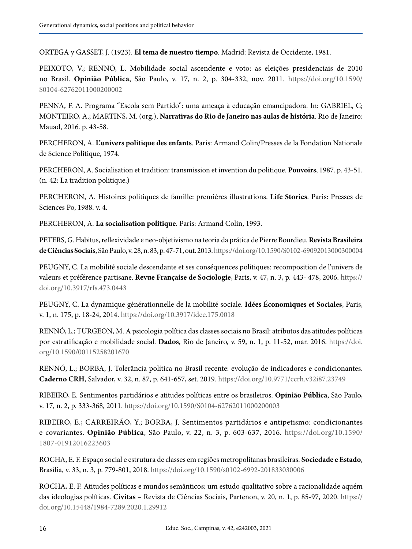ORTEGA y GASSET, J. (1923). **El tema de nuestro tiempo**. Madrid: Revista de Occidente, 1981.

PEIXOTO, V.; RENNÓ, L. Mobilidade social ascendente e voto: as eleições presidenciais de 2010 no Brasil. **Opinião Pública**, São Paulo, v. 17, n. 2, p. 304-332, nov. 2011. [https://doi.org/10.1590/](https://doi.org/10.1590/S0104-62762011000200002) [S0104-62762011000200002](https://doi.org/10.1590/S0104-62762011000200002)

PENNA, F. A. Programa "Escola sem Partido": uma ameaça à educação emancipadora. In: GABRIEL, C; MONTEIRO, A.; MARTINS, M. (org.), **Narrativas do Rio de Janeiro nas aulas de história**. Rio de Janeiro: Mauad, 2016. p. 43-58.

PERCHERON, A. **L'univers politique des enfants**. Paris: Armand Colin/Presses de la Fondation Nationale de Science Politique, 1974.

PERCHERON, A. Socialisation et tradition: transmission et invention du politique*.* **Pouvoirs**, 1987. p. 43-51. (n. 42: La tradition politique.)

PERCHERON, A. Histoires politiques de famille: premières illustrations. **Life Stories**. Paris: Presses de Sciences Po, 1988. v. 4.

PERCHERON, A. **La socialisation politique**. Paris: Armand Colin, 1993.

PETERS, G. Habitus, reflexividade e neo-objetivismo na teoria da prática de Pierre Bourdieu. **Revista Brasileira de Ciências Sociais**, São Paulo, v. 28, n. 83, p. 47-71, out. 2013.<https://doi.org/10.1590/S0102-69092013000300004>

PEUGNY, C. La mobilité sociale descendante et ses conséquences politiques: recomposition de l'univers de valeurs et préférence partisane. **Revue Française de Sociologie**, Paris, v. 47, n. 3, p. 443- 478, 2006. [https://](https://doi.org/10.3917/rfs.473.0443) [doi.org/10.3917/rfs.473.0443](https://doi.org/10.3917/rfs.473.0443)

PEUGNY, C. La dynamique générationnelle de la mobilité sociale. **Idées Économiques et Sociales**, Paris, v. 1, n. 175, p. 18-24, 2014. <https://doi.org/10.3917/idee.175.0018>

RENNÓ, L.; TURGEON, M. A psicologia política das classes sociais no Brasil: atributos das atitudes políticas por estratificação e mobilidade social. **Dados**, Rio de Janeiro, v. 59, n. 1, p. 11-52, mar. 2016. [https://doi.](https://doi.org/10.1590/00115258201670) [org/10.1590/00115258201670](https://doi.org/10.1590/00115258201670)

RENNÓ, L.; BORBA, J. Tolerância política no Brasil recente: evolução de indicadores e condicionantes. **Caderno CRH**, Salvador, v. 32, n. 87, p. 641-657, set. 2019. <https://doi.org/10.9771/ccrh.v32i87.23749>

RIBEIRO, E. Sentimentos partidários e atitudes políticas entre os brasileiros. **Opinião Pública**, São Paulo, v. 17, n. 2, p. 333-368, 2011.<https://doi.org/10.1590/S0104-62762011000200003>

RIBEIRO, E.; CARREIRÃO, Y.; BORBA, J. Sentimentos partidários e antipetismo: condicionantes e covariantes. **Opinião Pública**, São Paulo, v. 22, n. 3, p. 603-637, 2016. [https://doi.org/10.1590/](https://doi.org/10.1590/1807-01912016223603) [1807-01912016223603](https://doi.org/10.1590/1807-01912016223603)

ROCHA, E. F. Espaço social e estrutura de classes em regiões metropolitanas brasileiras. **Sociedade e Estado**, Brasília, v. 33, n. 3, p. 779-801, 2018. <https://doi.org/10.1590/s0102-6992-201833030006>

ROCHA, E. F. Atitudes políticas e mundos semânticos: um estudo qualitativo sobre a racionalidade aquém das ideologias políticas. **Civitas** – Revista de Ciências Sociais, Partenon, v. 20, n. 1, p. 85-97, 2020. [https://](https://doi.org/10.15448/1984-7289.2020.1.29912) [doi.org/10.15448/1984-7289.2020.1.29912](https://doi.org/10.15448/1984-7289.2020.1.29912)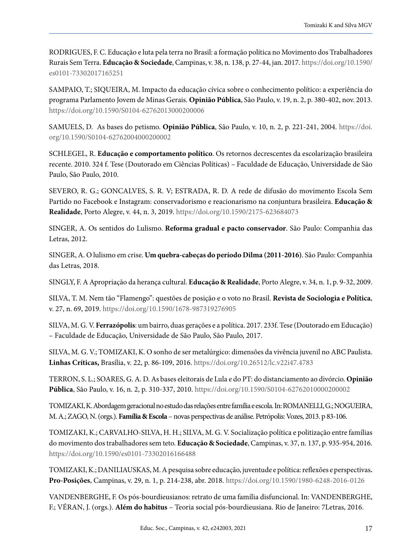RODRIGUES, F. C. Educação e luta pela terra no Brasil: a formação política no Movimento dos Trabalhadores Rurais Sem Terra. **Educação & Sociedade**, Campinas, v. 38, n. 138, p. 27-44, jan. 2017. [https://doi.org/10.1590/](https://doi.org/10.1590/es0101-73302017165251) [es0101-73302017165251](https://doi.org/10.1590/es0101-73302017165251)

SAMPAIO, T.; SIQUEIRA, M. Impacto da educação cívica sobre o conhecimento político: a experiência do programa Parlamento Jovem de Minas Gerais. **Opinião Pública**, São Paulo, v. 19, n. 2, p. 380-402, nov. 2013. <https://doi.org/10.1590/S0104-62762013000200006>

SAMUELS, D. As bases do petismo. **Opinião Pública**, São Paulo, v. 10, n. 2, p. 221-241, 2004. [https://doi.](https://doi.org/10.1590/S0104-62762004000200002) [org/10.1590/S0104-62762004000200002](https://doi.org/10.1590/S0104-62762004000200002)

SCHLEGEL, R. **Educação e comportamento político**. Os retornos decrescentes da escolarização brasileira recente. 2010. 324 f. Tese (Doutorado em Ciências Políticas) – Faculdade de Educação, Universidade de São Paulo, São Paulo, 2010.

SEVERO, R. G.; GONCALVES, S. R. V; ESTRADA, R. D. A rede de difusão do movimento Escola Sem Partido no Facebook e Instagram: conservadorismo e reacionarismo na conjuntura brasileira. **Educação & Realidade**, Porto Alegre, v. 44, n. 3, 2019. <https://doi.org/10.1590/2175-623684073>

SINGER, A. Os sentidos do Lulismo. **Reforma gradual e pacto conservador**. São Paulo: Companhia das Letras, 2012.

SINGER, A. O lulismo em crise. **Um quebra-cabeças do período Dilma (2011-2016)**. São Paulo: Companhia das Letras, 2018.

SINGLY, F. A Apropriação da herança cultural. **Educação & Realidade**, Porto Alegre, v. 34, n. 1, p. 9-32, 2009.

SILVA, T. M. Nem tão "Flamengo": questões de posição e o voto no Brasil. **Revista de Sociologia e Política**, v. 27, n. 69, 2019.<https://doi.org/10.1590/1678-987319276905>

SILVA, M. G. V. **Ferrazópolis**: um bairro, duas gerações e a política. 2017. 233f. Tese (Doutorado em Educação) – Faculdade de Educação, Universidade de São Paulo, São Paulo, 2017.

SILVA, M. G. V.; TOMIZAKI, K. O sonho de ser metalúrgico: dimensões da vivência juvenil no ABC Paulista. **Linhas Críticas,** Brasília, v. 22, p. 86-109, 2016.<https://doi.org/10.26512/lc.v22i47.4783>

TERRON, S. L.; SOARES, G. A. D. As bases eleitorais de Lula e do PT: do distanciamento ao divórcio. **Opinião Pública**, São Paulo, v. 16, n. 2, p. 310-337, 2010. <https://doi.org/10.1590/S0104-62762010000200002>

TOMIZAKI, K. Abordagem geracional no estudo das relações entre família e escola. In: ROMANELLI, G.; NOGUEIRA, M. A.; ZAGO, N. (orgs.). **Família & Escola** – novas perspectivas de análise.Petrópolis: Vozes, 2013. p 83-106.

TOMIZAKI, K.; CARVALHO-SILVA, H. H.; SILVA, M. G. V. Socialização política e politização entre famílias do movimento dos trabalhadores sem teto. **Educação & Sociedade**, Campinas, v. 37, n. 137, p. 935-954, 2016. <https://doi.org/10.1590/es0101-73302016166488>

TOMIZAKI, K.; DANILIAUSKAS, M. A pesquisa sobre educação, juventude e política: reflexões e perspectivas**. Pro-Posições**, Campinas, v. 29, n. 1, p. 214-238, abr. 2018. <https://doi.org/10.1590/1980-6248-2016-0126>

VANDENBERGHE, F. Os pós-bourdieusianos: retrato de uma família disfuncional. In: VANDENBERGHE, F.; VÉRAN, J. (orgs.). **Além do habitus** – Teoria social pós-bourdieusiana. Rio de Janeiro: 7Letras, 2016.